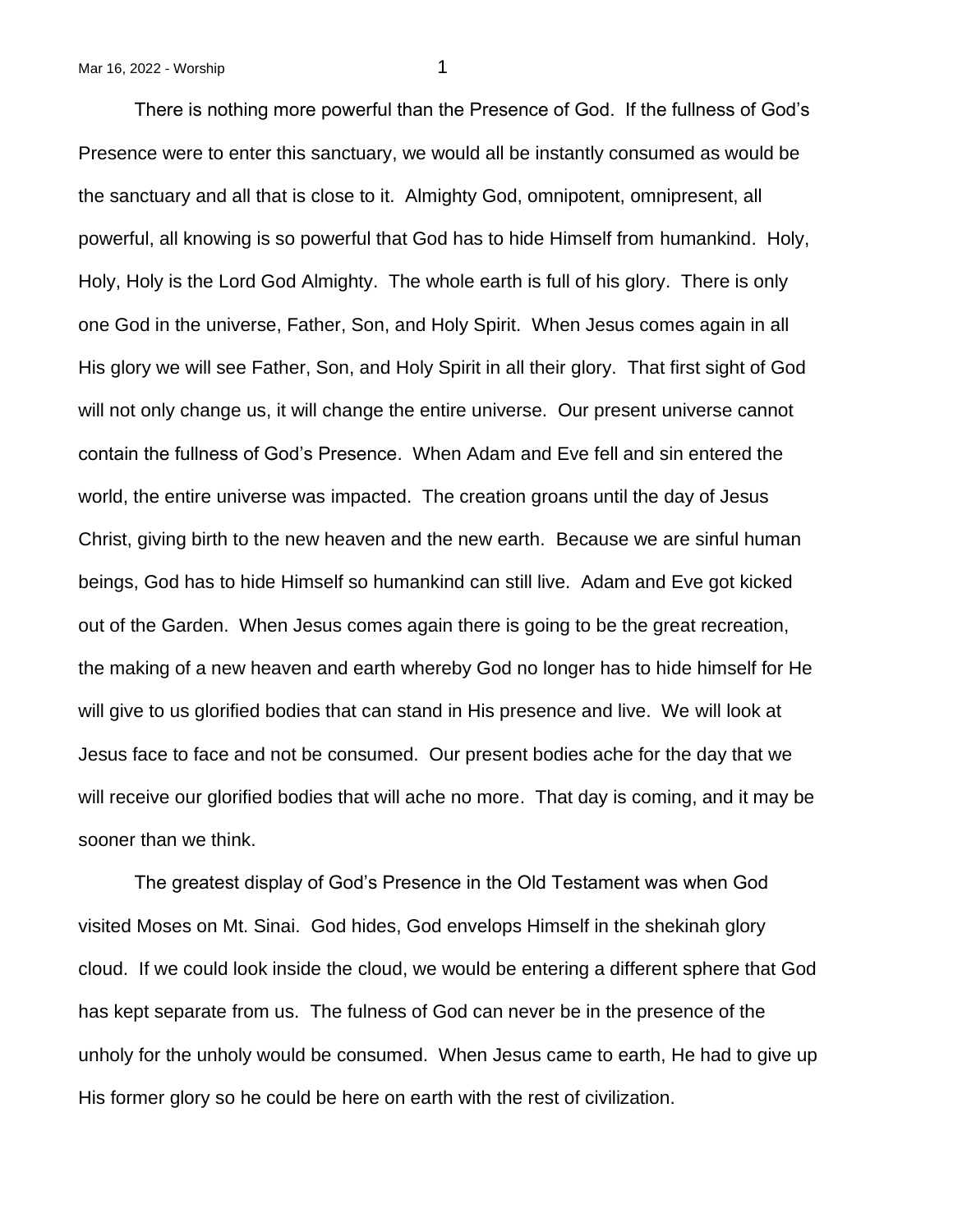There is nothing more powerful than the Presence of God. If the fullness of God's Presence were to enter this sanctuary, we would all be instantly consumed as would be the sanctuary and all that is close to it. Almighty God, omnipotent, omnipresent, all powerful, all knowing is so powerful that God has to hide Himself from humankind. Holy, Holy, Holy is the Lord God Almighty. The whole earth is full of his glory. There is only one God in the universe, Father, Son, and Holy Spirit. When Jesus comes again in all His glory we will see Father, Son, and Holy Spirit in all their glory. That first sight of God will not only change us, it will change the entire universe. Our present universe cannot contain the fullness of God's Presence. When Adam and Eve fell and sin entered the world, the entire universe was impacted. The creation groans until the day of Jesus Christ, giving birth to the new heaven and the new earth. Because we are sinful human beings, God has to hide Himself so humankind can still live. Adam and Eve got kicked out of the Garden. When Jesus comes again there is going to be the great recreation, the making of a new heaven and earth whereby God no longer has to hide himself for He will give to us glorified bodies that can stand in His presence and live. We will look at Jesus face to face and not be consumed. Our present bodies ache for the day that we will receive our glorified bodies that will ache no more. That day is coming, and it may be sooner than we think.

The greatest display of God's Presence in the Old Testament was when God visited Moses on Mt. Sinai. God hides, God envelops Himself in the shekinah glory cloud. If we could look inside the cloud, we would be entering a different sphere that God has kept separate from us. The fulness of God can never be in the presence of the unholy for the unholy would be consumed. When Jesus came to earth, He had to give up His former glory so he could be here on earth with the rest of civilization.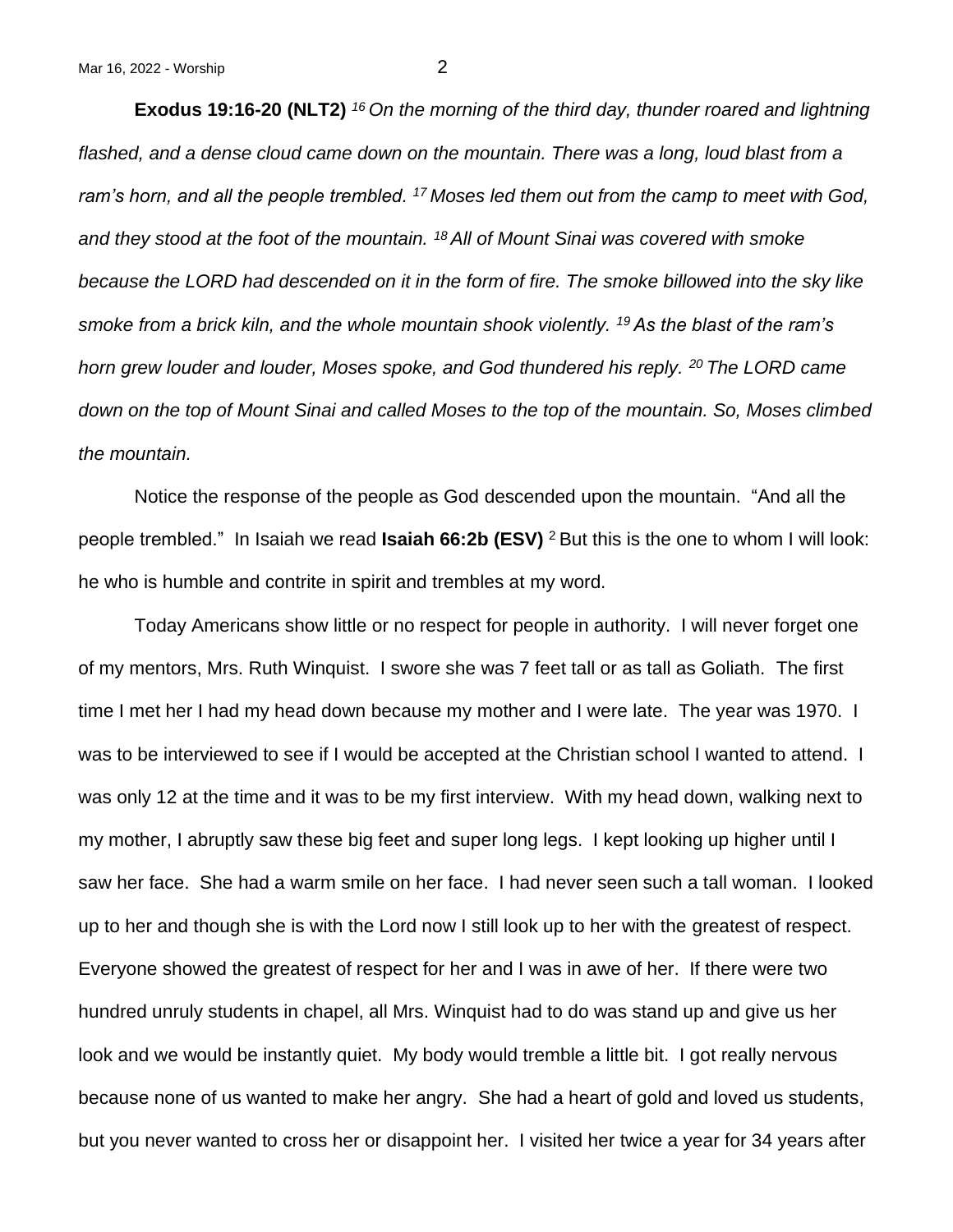**Exodus 19:16-20 (NLT2)** *<sup>16</sup>On the morning of the third day, thunder roared and lightning*  flashed, and a dense cloud came down on the mountain. There was a long, loud blast from a *ram's horn, and all the people trembled. <sup>17</sup>Moses led them out from the camp to meet with God, and they stood at the foot of the mountain. <sup>18</sup>All of Mount Sinai was covered with smoke because the LORD had descended on it in the form of fire. The smoke billowed into the sky like smoke from a brick kiln, and the whole mountain shook violently. <sup>19</sup>As the blast of the ram's horn grew louder and louder, Moses spoke, and God thundered his reply. <sup>20</sup>The LORD came down on the top of Mount Sinai and called Moses to the top of the mountain. So, Moses climbed the mountain.*

Notice the response of the people as God descended upon the mountain. "And all the people trembled." In Isaiah we read **Isaiah 66:2b (ESV)** <sup>2</sup>But this is the one to whom I will look: he who is humble and contrite in spirit and trembles at my word.

Today Americans show little or no respect for people in authority. I will never forget one of my mentors, Mrs. Ruth Winquist. I swore she was 7 feet tall or as tall as Goliath. The first time I met her I had my head down because my mother and I were late. The year was 1970. I was to be interviewed to see if I would be accepted at the Christian school I wanted to attend. I was only 12 at the time and it was to be my first interview. With my head down, walking next to my mother, I abruptly saw these big feet and super long legs. I kept looking up higher until I saw her face. She had a warm smile on her face. I had never seen such a tall woman. I looked up to her and though she is with the Lord now I still look up to her with the greatest of respect. Everyone showed the greatest of respect for her and I was in awe of her. If there were two hundred unruly students in chapel, all Mrs. Winquist had to do was stand up and give us her look and we would be instantly quiet. My body would tremble a little bit. I got really nervous because none of us wanted to make her angry. She had a heart of gold and loved us students, but you never wanted to cross her or disappoint her. I visited her twice a year for 34 years after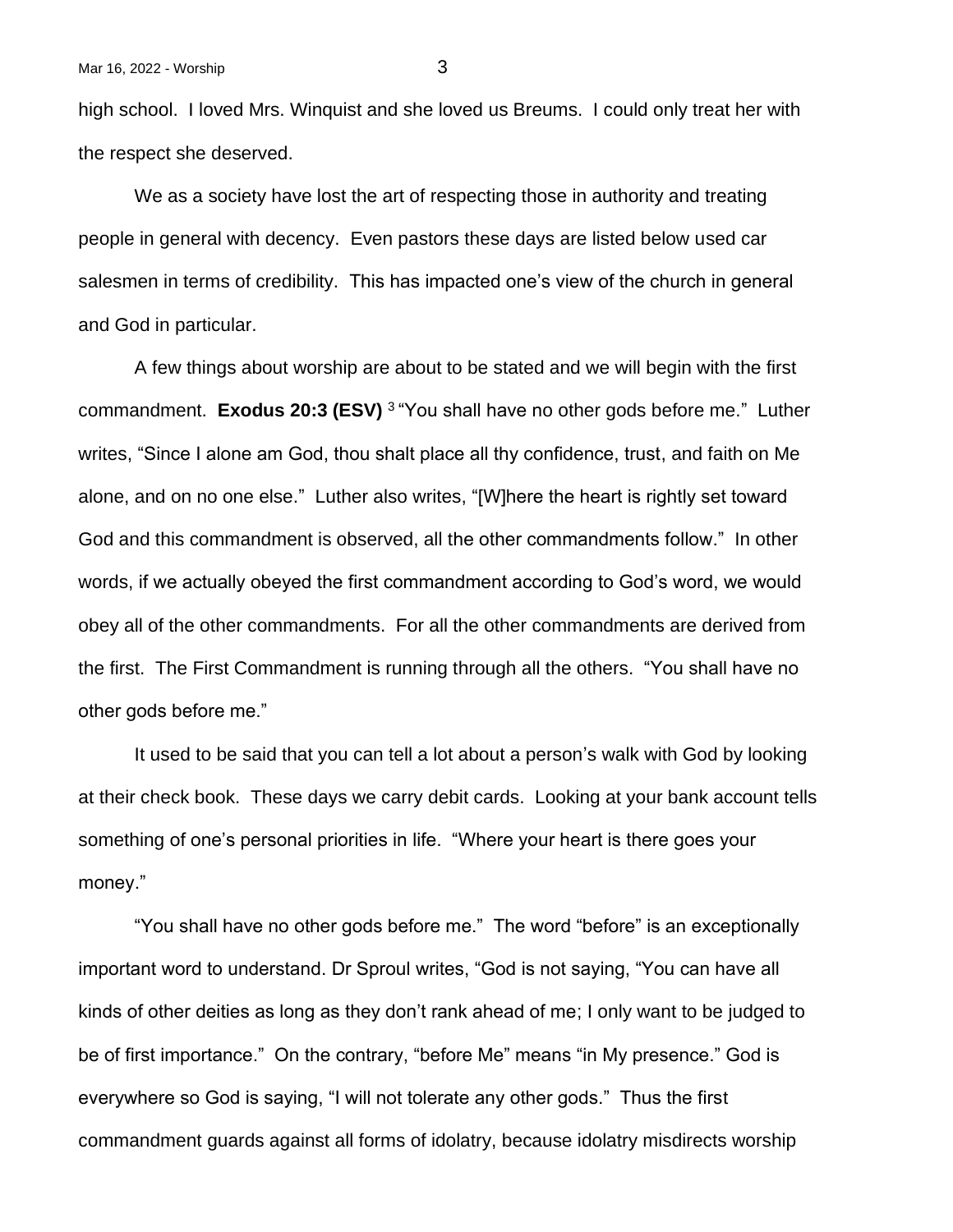high school. I loved Mrs. Winquist and she loved us Breums. I could only treat her with the respect she deserved.

We as a society have lost the art of respecting those in authority and treating people in general with decency. Even pastors these days are listed below used car salesmen in terms of credibility. This has impacted one's view of the church in general and God in particular.

A few things about worship are about to be stated and we will begin with the first commandment. **Exodus 20:3 (ESV)** <sup>3</sup>"You shall have no other gods before me." Luther writes, "Since I alone am God, thou shalt place all thy confidence, trust, and faith on Me alone, and on no one else." Luther also writes, "[W]here the heart is rightly set toward God and this commandment is observed, all the other commandments follow." In other words, if we actually obeyed the first commandment according to God's word, we would obey all of the other commandments. For all the other commandments are derived from the first. The First Commandment is running through all the others. "You shall have no other gods before me."

It used to be said that you can tell a lot about a person's walk with God by looking at their check book. These days we carry debit cards. Looking at your bank account tells something of one's personal priorities in life. "Where your heart is there goes your money."

"You shall have no other gods before me." The word "before" is an exceptionally important word to understand. Dr Sproul writes, "God is not saying, "You can have all kinds of other deities as long as they don't rank ahead of me; I only want to be judged to be of first importance." On the contrary, "before Me" means "in My presence." God is everywhere so God is saying, "I will not tolerate any other gods." Thus the first commandment guards against all forms of idolatry, because idolatry misdirects worship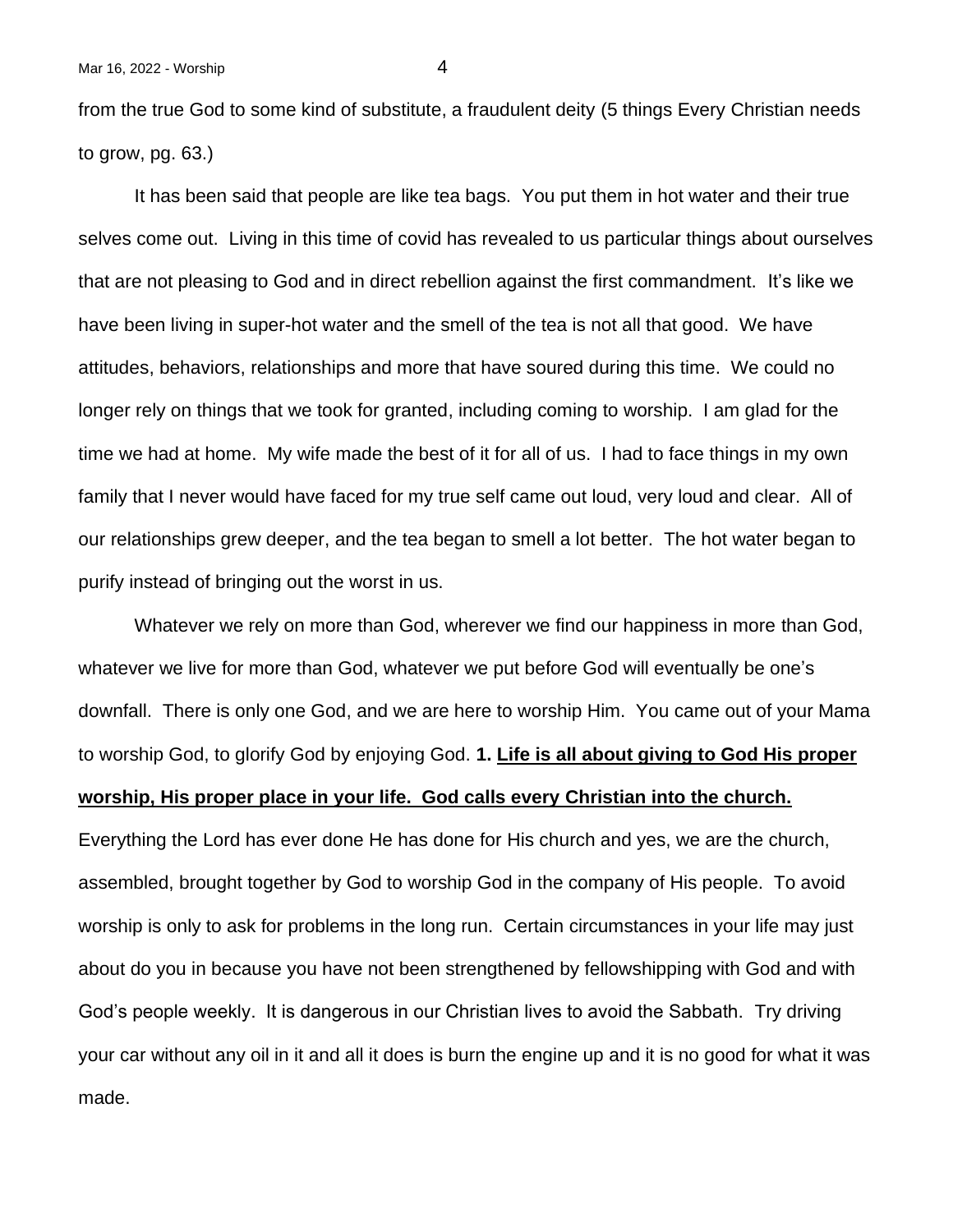from the true God to some kind of substitute, a fraudulent deity (5 things Every Christian needs to grow, pg. 63.)

It has been said that people are like tea bags. You put them in hot water and their true selves come out. Living in this time of covid has revealed to us particular things about ourselves that are not pleasing to God and in direct rebellion against the first commandment. It's like we have been living in super-hot water and the smell of the tea is not all that good. We have attitudes, behaviors, relationships and more that have soured during this time. We could no longer rely on things that we took for granted, including coming to worship. I am glad for the time we had at home. My wife made the best of it for all of us. I had to face things in my own family that I never would have faced for my true self came out loud, very loud and clear. All of our relationships grew deeper, and the tea began to smell a lot better. The hot water began to purify instead of bringing out the worst in us.

Whatever we rely on more than God, wherever we find our happiness in more than God, whatever we live for more than God, whatever we put before God will eventually be one's downfall. There is only one God, and we are here to worship Him. You came out of your Mama to worship God, to glorify God by enjoying God. **1. Life is all about giving to God His proper worship, His proper place in your life. God calls every Christian into the church.**

Everything the Lord has ever done He has done for His church and yes, we are the church, assembled, brought together by God to worship God in the company of His people. To avoid worship is only to ask for problems in the long run. Certain circumstances in your life may just about do you in because you have not been strengthened by fellowshipping with God and with God's people weekly. It is dangerous in our Christian lives to avoid the Sabbath. Try driving your car without any oil in it and all it does is burn the engine up and it is no good for what it was made.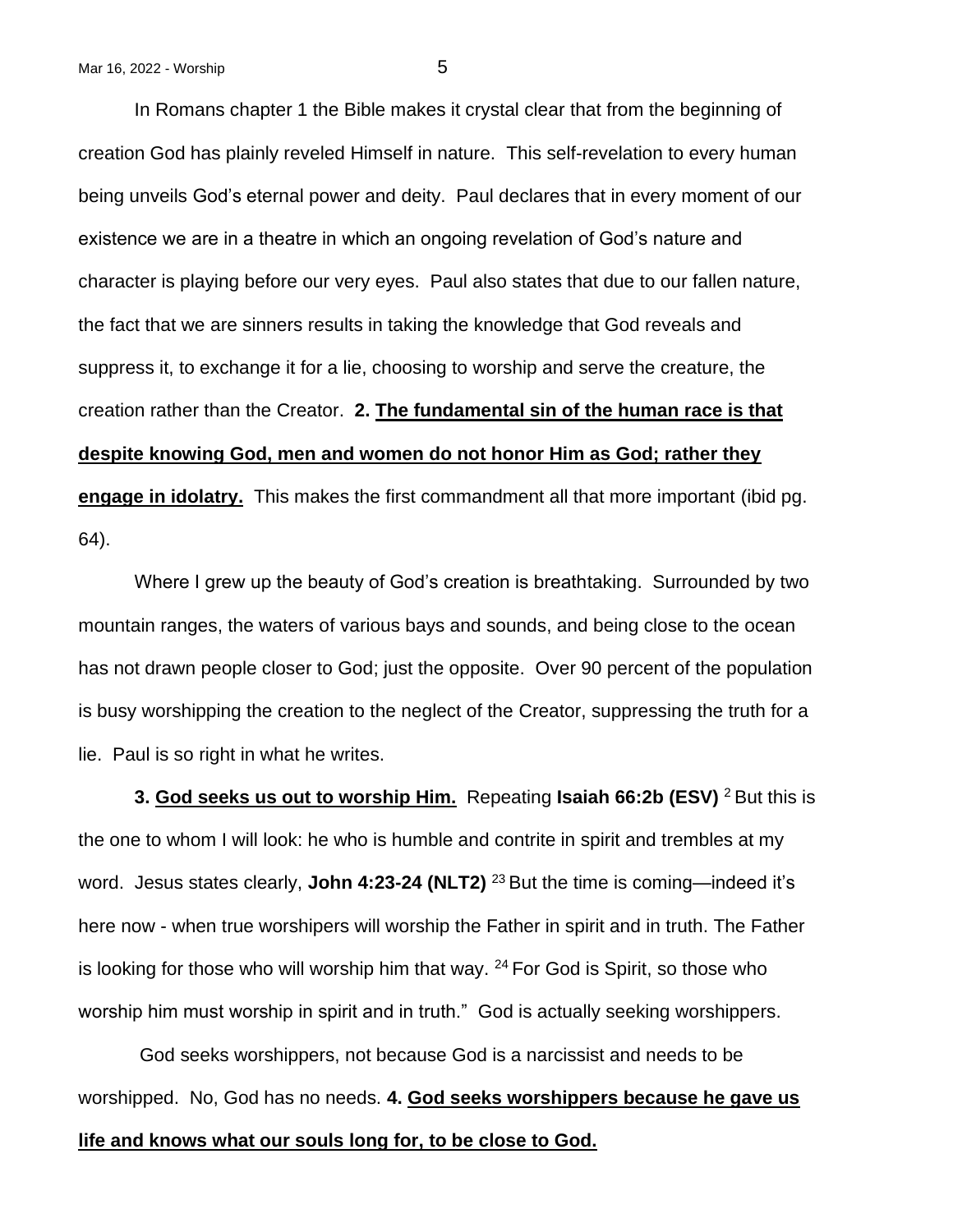In Romans chapter 1 the Bible makes it crystal clear that from the beginning of creation God has plainly reveled Himself in nature. This self-revelation to every human being unveils God's eternal power and deity. Paul declares that in every moment of our existence we are in a theatre in which an ongoing revelation of God's nature and character is playing before our very eyes. Paul also states that due to our fallen nature, the fact that we are sinners results in taking the knowledge that God reveals and suppress it, to exchange it for a lie, choosing to worship and serve the creature, the creation rather than the Creator. **2. The fundamental sin of the human race is that despite knowing God, men and women do not honor Him as God; rather they engage in idolatry.** This makes the first commandment all that more important (ibid pg. 64).

Where I grew up the beauty of God's creation is breathtaking. Surrounded by two mountain ranges, the waters of various bays and sounds, and being close to the ocean has not drawn people closer to God; just the opposite. Over 90 percent of the population is busy worshipping the creation to the neglect of the Creator, suppressing the truth for a lie. Paul is so right in what he writes.

**3. God seeks us out to worship Him.** Repeating **Isaiah 66:2b (ESV)** <sup>2</sup> But this is the one to whom I will look: he who is humble and contrite in spirit and trembles at my word. Jesus states clearly, **John 4:23-24 (NLT2)** <sup>23</sup> But the time is coming—indeed it's here now - when true worshipers will worship the Father in spirit and in truth. The Father is looking for those who will worship him that way.  $24$  For God is Spirit, so those who worship him must worship in spirit and in truth." God is actually seeking worshippers.

God seeks worshippers, not because God is a narcissist and needs to be worshipped. No, God has no needs. **4. God seeks worshippers because he gave us life and knows what our souls long for, to be close to God.**